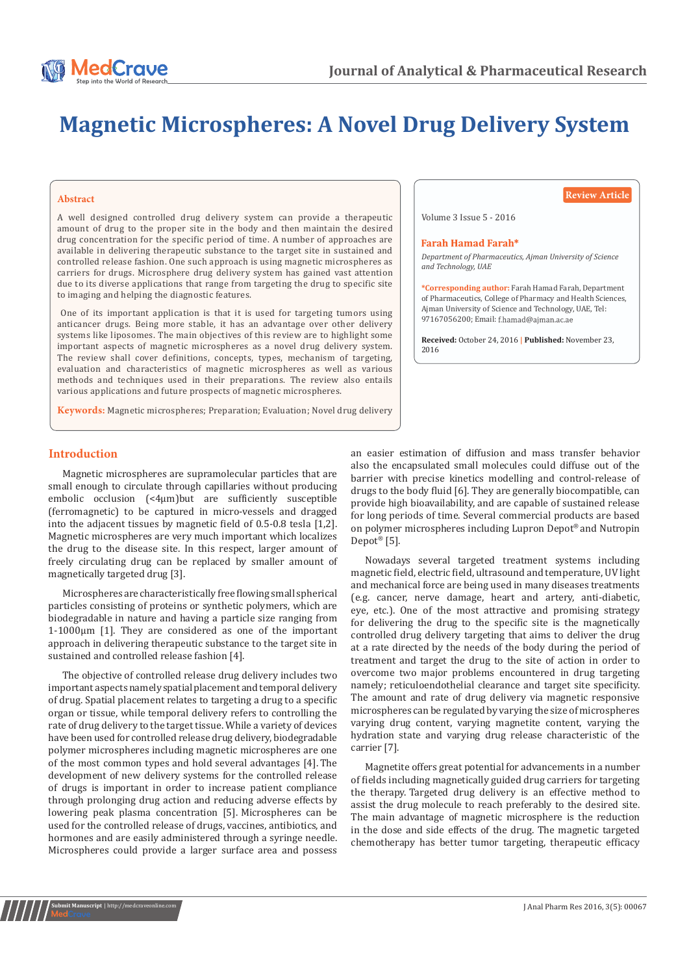

# **Magnetic Microspheres: A Novel Drug Delivery System**

#### **Abstract**

A well designed controlled drug delivery system can provide a therapeutic amount of drug to the proper site in the body and then maintain the desired drug concentration for the specific period of time. A number of approaches are available in delivering therapeutic substance to the target site in sustained and controlled release fashion. One such approach is using magnetic microspheres as carriers for drugs. Microsphere drug delivery system has gained vast attention due to its diverse applications that range from targeting the drug to specific site to imaging and helping the diagnostic features.

 One of its important application is that it is used for targeting tumors using anticancer drugs. Being more stable, it has an advantage over other delivery systems like liposomes. The main objectives of this review are to highlight some important aspects of magnetic microspheres as a novel drug delivery system. The review shall cover definitions, concepts, types, mechanism of targeting, evaluation and characteristics of magnetic microspheres as well as various methods and techniques used in their preparations. The review also entails various applications and future prospects of magnetic microspheres.

**Keywords:** Magnetic microspheres; Preparation; Evaluation; Novel drug delivery

**Review Article**

Volume 3 Issue 5 - 2016

#### **Farah Hamad Farah\***

*Department of Pharmaceutics, Ajman University of Science and Technology, UAE*

**\*Corresponding author:** Farah Hamad Farah, Department of Pharmaceutics, College of Pharmacy and Health Sciences, Ajman University of Science and Technology, UAE, Tel: 97167056200; Email: f.hamad@aiman.ac.ae

**Received:** October 24, 2016 **| Published:** November 23, 2016

# **Introduction**

Magnetic microspheres are supramolecular particles that are small enough to circulate through capillaries without producing embolic occlusion (<4μm)but are sufficiently susceptible (ferromagnetic) to be captured in micro-vessels and dragged into the adjacent tissues by magnetic field of 0.5-0.8 tesla [1,2]. Magnetic microspheres are very much important which localizes the drug to the disease site. In this respect, larger amount of freely circulating drug can be replaced by smaller amount of magnetically targeted drug [3].

Microspheres are characteristically free flowing small spherical particles consisting of proteins or synthetic polymers, which are biodegradable in nature and having a particle size ranging from 1-1000μm [1]. They are considered as one of the important approach in delivering therapeutic substance to the target site in sustained and controlled release fashion [4].

The objective of controlled release drug delivery includes two important aspects namely spatial placement and temporal delivery of drug. Spatial placement relates to targeting a drug to a specific organ or tissue, while temporal delivery refers to controlling the rate of drug delivery to the target tissue. While a variety of devices have been used for controlled release drug delivery, biodegradable polymer microspheres including magnetic microspheres are one of the most common types and hold several advantages [4]. The development of new delivery systems for the controlled release of drugs is important in order to increase patient compliance through prolonging drug action and reducing adverse effects by lowering peak plasma concentration [5]. Microspheres can be used for the controlled release of drugs, vaccines, antibiotics, and hormones and are easily administered through a syringe needle. Microspheres could provide a larger surface area and possess

**Submit Manuscript** | http://medcraveonline.com

an easier estimation of diffusion and mass transfer behavior also the encapsulated small molecules could diffuse out of the barrier with precise kinetics modelling and control-release of drugs to the body fluid [6]. They are generally biocompatible, can provide high bioavailability, and are capable of sustained release for long periods of time. Several commercial products are based on polymer microspheres including Lupron Depot® and Nutropin Depot® [5].

Nowadays several targeted treatment systems including magnetic field, electric field, ultrasound and temperature, UV light and mechanical force are being used in many diseases treatments (e.g. cancer, nerve damage, heart and artery, anti-diabetic, eye, etc.). One of the most attractive and promising strategy for delivering the drug to the specific site is the magnetically controlled drug delivery targeting that aims to deliver the drug at a rate directed by the needs of the body during the period of treatment and target the drug to the site of action in order to overcome two major problems encountered in drug targeting namely; reticuloendothelial clearance and target site specificity. The amount and rate of drug delivery via magnetic responsive microspheres can be regulated by varying the size of microspheres varying drug content, varying magnetite content, varying the hydration state and varying drug release characteristic of the carrier [7].

Magnetite offers great potential for advancements in a number of fields including magnetically guided drug carriers for targeting the therapy. Targeted drug delivery is an effective method to assist the drug molecule to reach preferably to the desired site. The main advantage of magnetic microsphere is the reduction in the dose and side effects of the drug. The magnetic targeted chemotherapy has better tumor targeting, therapeutic efficacy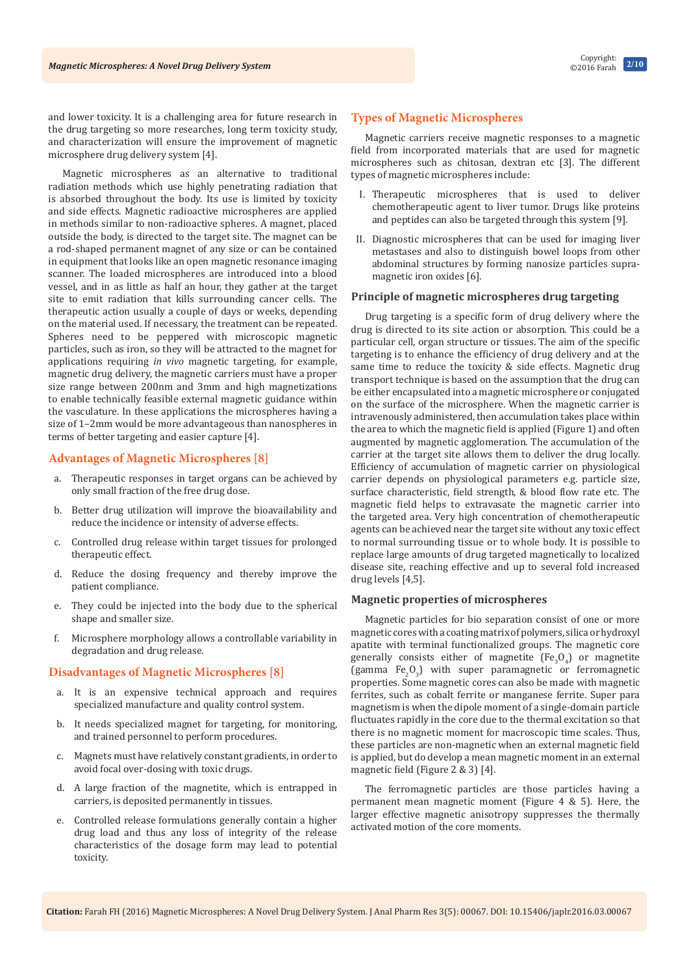and lower toxicity. It is a challenging area for future research in the drug targeting so more researches, long term toxicity study, and characterization will ensure the improvement of magnetic microsphere drug delivery system [4].

Magnetic microspheres as an alternative to traditional radiation methods which use highly penetrating radiation that is absorbed throughout the body. Its use is limited by toxicity and side effects. Magnetic radioactive microspheres are applied in methods similar to non-radioactive spheres. A magnet, placed outside the body, is directed to the target site. The magnet can be a rod-shaped permanent magnet of any size or can be contained in equipment that looks like an open magnetic resonance imaging scanner. The loaded microspheres are introduced into a blood vessel, and in as little as half an hour, they gather at the target site to emit radiation that kills surrounding cancer cells. The therapeutic action usually a couple of days or weeks, depending on the material used. If necessary, the treatment can be repeated. Spheres need to be peppered with microscopic magnetic particles, such as iron, so they will be attracted to the magnet for applications requiring *in vivo* magnetic targeting, for example, magnetic drug delivery, the magnetic carriers must have a proper size range between 200nm and 3mm and high magnetizations to enable technically feasible external magnetic guidance within the vasculature. In these applications the microspheres having a size of 1–2mm would be more advantageous than nanospheres in terms of better targeting and easier capture [4].

## **Advantages of Magnetic Microspheres [8]**

- a. Therapeutic responses in target organs can be achieved by only small fraction of the free drug dose.
- b. Better drug utilization will improve the bioavailability and reduce the incidence or intensity of adverse effects.
- c. Controlled drug release within target tissues for prolonged therapeutic effect.
- d. Reduce the dosing frequency and thereby improve the patient compliance.
- e. They could be injected into the body due to the spherical shape and smaller size.
- f. Microsphere morphology allows a controllable variability in degradation and drug release.

## **Disadvantages of Magnetic Microspheres [8]**

- a. It is an expensive technical approach and requires specialized manufacture and quality control system.
- b. It needs specialized magnet for targeting, for monitoring, and trained personnel to perform procedures.
- c. Magnets must have relatively constant gradients, in order to avoid focal over-dosing with toxic drugs.
- d. A large fraction of the magnetite, which is entrapped in carriers, is deposited permanently in tissues.
- e. Controlled release formulations generally contain a higher drug load and thus any loss of integrity of the release characteristics of the dosage form may lead to potential toxicity.

## **Types of Magnetic Microspheres**

Magnetic carriers receive magnetic responses to a magnetic field from incorporated materials that are used for magnetic microspheres such as chitosan, dextran etc [3]. The different types of magnetic microspheres include:

- I. Therapeutic microspheres that is used to deliver chemotherapeutic agent to liver tumor. Drugs like proteins and peptides can also be targeted through this system [9].
- II. Diagnostic microspheres that can be used for imaging liver metastases and also to distinguish bowel loops from other abdominal structures by forming nanosize particles supramagnetic iron oxides [6].

## **Principle of magnetic microspheres drug targeting**

Drug targeting is a specific form of drug delivery where the drug is directed to its site action or absorption. This could be a particular cell, organ structure or tissues. The aim of the specific targeting is to enhance the efficiency of drug delivery and at the same time to reduce the toxicity & side effects. Magnetic drug transport technique is based on the assumption that the drug can be either encapsulated into a magnetic microsphere or conjugated on the surface of the microsphere. When the magnetic carrier is intravenously administered, then accumulation takes place within the area to which the magnetic field is applied (Figure 1) and often augmented by magnetic agglomeration. The accumulation of the carrier at the target site allows them to deliver the drug locally. Efficiency of accumulation of magnetic carrier on physiological carrier depends on physiological parameters e.g. particle size, surface characteristic, field strength, & blood flow rate etc. The magnetic field helps to extravasate the magnetic carrier into the targeted area. Very high concentration of chemotherapeutic agents can be achieved near the target site without any toxic effect to normal surrounding tissue or to whole body. It is possible to replace large amounts of drug targeted magnetically to localized disease site, reaching effective and up to several fold increased drug levels [4,5].

#### **Magnetic properties of microspheres**

Magnetic particles for bio separation consist of one or more magnetic cores with a coating matrix of polymers, silica or hydroxyl apatite with terminal functionalized groups. The magnetic core generally consists either of magnetite  $[Fe<sub>3</sub>O<sub>4</sub>]$  or magnetite (gamma  $Fe<sub>2</sub>O<sub>3</sub>$ ) with super paramagnetic or ferromagnetic properties. Some magnetic cores can also be made with magnetic ferrites, such as cobalt ferrite or manganese ferrite. Super para magnetism is when the dipole moment of a single-domain particle fluctuates rapidly in the core due to the thermal excitation so that there is no magnetic moment for macroscopic time scales. Thus, these particles are non-magnetic when an external magnetic field is applied, but do develop a mean magnetic moment in an external magnetic field (Figure 2 & 3) [4].

The ferromagnetic particles are those particles having a permanent mean magnetic moment (Figure 4 & 5). Here, the larger effective magnetic anisotropy suppresses the thermally activated motion of the core moments.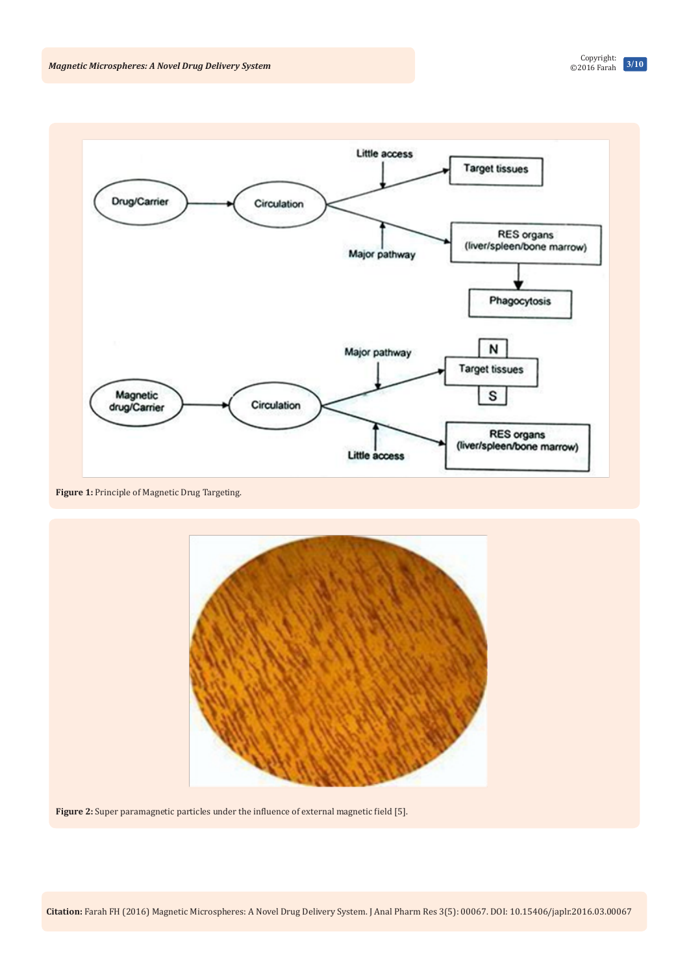

**Figure 1:** Principle of Magnetic Drug Targeting.



**Figure 2:** Super paramagnetic particles under the influence of external magnetic field [5].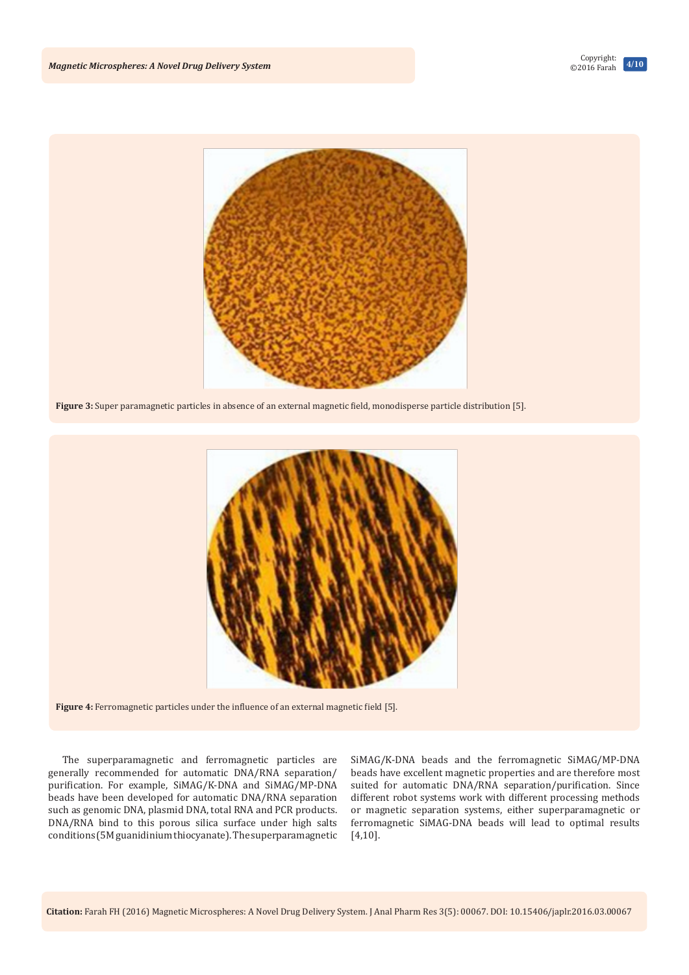

**Figure 3:** Super paramagnetic particles in absence of an external magnetic field, monodisperse particle distribution [5].



**Figure 4:** Ferromagnetic particles under the influence of an external magnetic field [5].

The superparamagnetic and ferromagnetic particles are generally recommended for automatic DNA/RNA separation/ purification. For example, SiMAG/K-DNA and SiMAG/MP-DNA beads have been developed for automatic DNA/RNA separation such as genomic DNA, plasmid DNA, total RNA and PCR products. DNA/RNA bind to this porous silica surface under high salts conditions (5M guanidinium thiocyanate). The superparamagnetic

SiMAG/K-DNA beads and the ferromagnetic SiMAG/MP-DNA beads have excellent magnetic properties and are therefore most suited for automatic DNA/RNA separation/purification. Since different robot systems work with different processing methods or magnetic separation systems, either superparamagnetic or ferromagnetic SiMAG-DNA beads will lead to optimal results [4,10].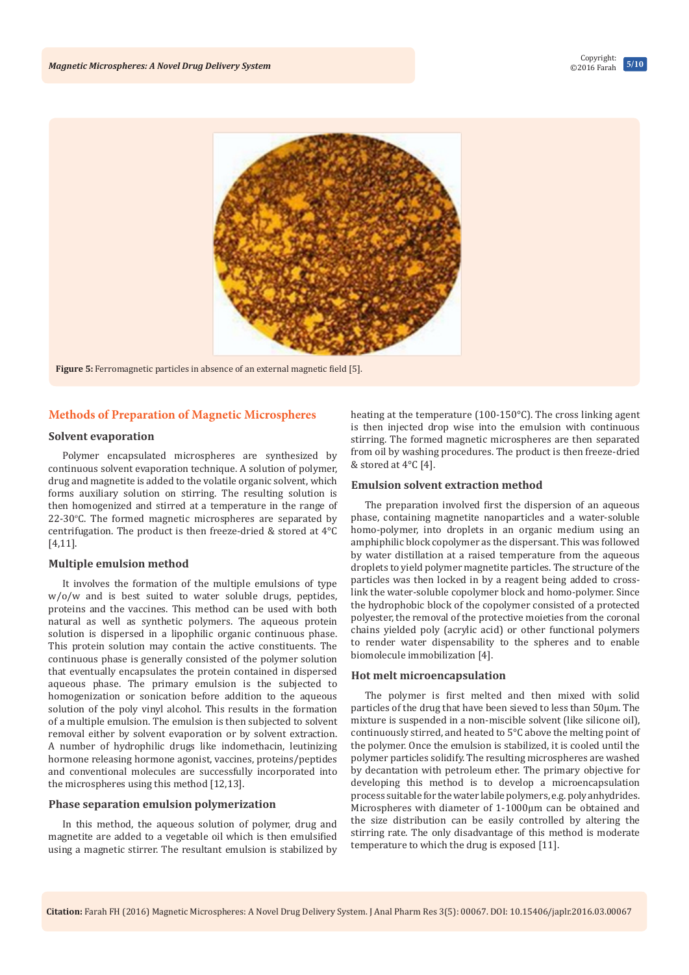

**Figure 5:** Ferromagnetic particles in absence of an external magnetic field [5].

## **Methods of Preparation of Magnetic Microspheres**

## **Solvent evaporation**

Polymer encapsulated microspheres are synthesized by continuous solvent evaporation technique. A solution of polymer, drug and magnetite is added to the volatile organic solvent, which forms auxiliary solution on stirring. The resulting solution is then homogenized and stirred at a temperature in the range of  $22-30$ °C. The formed magnetic microspheres are separated by centrifugation. The product is then freeze-dried & stored at 4°C [4,11].

#### **Multiple emulsion method**

It involves the formation of the multiple emulsions of type w/o/w and is best suited to water soluble drugs, peptides, proteins and the vaccines. This method can be used with both natural as well as synthetic polymers. The aqueous protein solution is dispersed in a lipophilic organic continuous phase. This protein solution may contain the active constituents. The continuous phase is generally consisted of the polymer solution that eventually encapsulates the protein contained in dispersed aqueous phase. The primary emulsion is the subjected to homogenization or sonication before addition to the aqueous solution of the poly vinyl alcohol. This results in the formation of a multiple emulsion. The emulsion is then subjected to solvent removal either by solvent evaporation or by solvent extraction. A number of hydrophilic drugs like indomethacin, leutinizing hormone releasing hormone agonist, vaccines, proteins/peptides and conventional molecules are successfully incorporated into the microspheres using this method [12,13].

#### **Phase separation emulsion polymerization**

In this method, the aqueous solution of polymer, drug and magnetite are added to a vegetable oil which is then emulsified using a magnetic stirrer. The resultant emulsion is stabilized by heating at the temperature (100-150°C). The cross linking agent is then injected drop wise into the emulsion with continuous stirring. The formed magnetic microspheres are then separated from oil by washing procedures. The product is then freeze-dried & stored at 4°C [4].

#### **Emulsion solvent extraction method**

The preparation involved first the dispersion of an aqueous phase, containing magnetite nanoparticles and a water-soluble homo-polymer, into droplets in an organic medium using an amphiphilic block copolymer as the dispersant. This was followed by water distillation at a raised temperature from the aqueous droplets to yield polymer magnetite particles. The structure of the particles was then locked in by a reagent being added to crosslink the water-soluble copolymer block and homo-polymer. Since the hydrophobic block of the copolymer consisted of a protected polyester, the removal of the protective moieties from the coronal chains yielded poly (acrylic acid) or other functional polymers to render water dispensability to the spheres and to enable biomolecule immobilization [4].

#### **Hot melt microencapsulation**

The polymer is first melted and then mixed with solid particles of the drug that have been sieved to less than 50μm. The mixture is suspended in a non-miscible solvent (like silicone oil), continuously stirred, and heated to 5°C above the melting point of the polymer. Once the emulsion is stabilized, it is cooled until the polymer particles solidify. The resulting microspheres are washed by decantation with petroleum ether. The primary objective for developing this method is to develop a microencapsulation process suitable for the water labile polymers, e.g. poly anhydrides. Microspheres with diameter of 1-1000μm can be obtained and the size distribution can be easily controlled by altering the stirring rate. The only disadvantage of this method is moderate temperature to which the drug is exposed [11].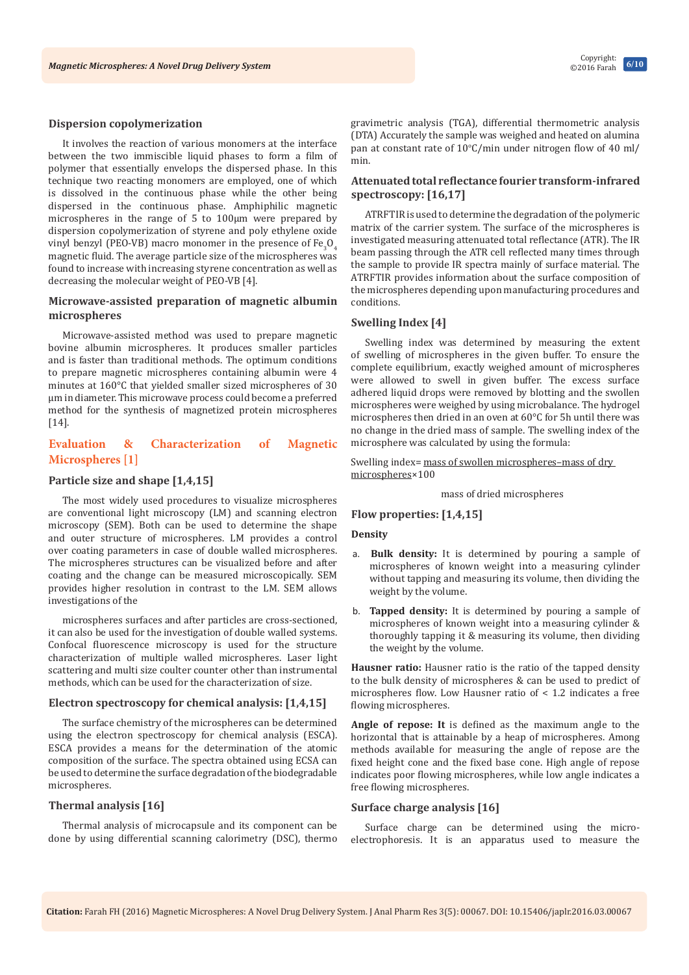#### **Dispersion copolymerization**

It involves the reaction of various monomers at the interface between the two immiscible liquid phases to form a film of polymer that essentially envelops the dispersed phase. In this technique two reacting monomers are employed, one of which is dissolved in the continuous phase while the other being dispersed in the continuous phase. Amphiphilic magnetic microspheres in the range of 5 to 100µm were prepared by dispersion copolymerization of styrene and poly ethylene oxide vinyl benzyl (PEO-VB) macro monomer in the presence of  $Fe<sub>3</sub>O<sub>4</sub>$ magnetic fluid. The average particle size of the microspheres was found to increase with increasing styrene concentration as well as decreasing the molecular weight of PEO-VB [4].

# **Microwave-assisted preparation of magnetic albumin microspheres**

Microwave-assisted method was used to prepare magnetic bovine albumin microspheres. It produces smaller particles and is faster than traditional methods. The optimum conditions to prepare magnetic microspheres containing albumin were 4 minutes at 160°C that yielded smaller sized microspheres of 30 µm in diameter. This microwave process could become a preferred method for the synthesis of magnetized protein microspheres [14].

# **Evaluation & Characterization of Magnetic Microspheres [1]**

## **Particle size and shape [1,4,15]**

The most widely used procedures to visualize microspheres are conventional light microscopy (LM) and scanning electron microscopy (SEM). Both can be used to determine the shape and outer structure of microspheres. LM provides a control over coating parameters in case of double walled microspheres. The microspheres structures can be visualized before and after coating and the change can be measured microscopically. SEM provides higher resolution in contrast to the LM. SEM allows investigations of the

microspheres surfaces and after particles are cross-sectioned, it can also be used for the investigation of double walled systems. Confocal fluorescence microscopy is used for the structure characterization of multiple walled microspheres. Laser light scattering and multi size coulter counter other than instrumental methods, which can be used for the characterization of size.

# **Electron spectroscopy for chemical analysis: [1,4,15]**

The surface chemistry of the microspheres can be determined using the electron spectroscopy for chemical analysis (ESCA). ESCA provides a means for the determination of the atomic composition of the surface. The spectra obtained using ECSA can be used to determine the surface degradation of the biodegradable microspheres.

## **Thermal analysis [16]**

Thermal analysis of microcapsule and its component can be done by using differential scanning calorimetry (DSC), thermo

gravimetric analysis (TGA), differential thermometric analysis (DTA) Accurately the sample was weighed and heated on alumina pan at constant rate of  $10^{\circ}$ C/min under nitrogen flow of 40 ml/ min.

### **Attenuated total reflectance fourier transform-infrared spectroscopy: [16,17]**

ATRFTIR is used to determine the degradation of the polymeric matrix of the carrier system. The surface of the microspheres is investigated measuring attenuated total reflectance (ATR). The IR beam passing through the ATR cell reflected many times through the sample to provide IR spectra mainly of surface material. The ATRFTIR provides information about the surface composition of the microspheres depending upon manufacturing procedures and conditions.

## **Swelling Index [4]**

Swelling index was determined by measuring the extent of swelling of microspheres in the given buffer. To ensure the complete equilibrium, exactly weighed amount of microspheres were allowed to swell in given buffer. The excess surface adhered liquid drops were removed by blotting and the swollen microspheres were weighed by using microbalance. The hydrogel microspheres then dried in an oven at 60°C for 5h until there was no change in the dried mass of sample. The swelling index of the microsphere was calculated by using the formula:

Swelling index= mass of swollen microspheres-mass of dry microspheres×100

mass of dried microspheres

**Flow properties: [1,4,15]**

#### **Density**

- a. **Bulk density:** It is determined by pouring a sample of microspheres of known weight into a measuring cylinder without tapping and measuring its volume, then dividing the weight by the volume.
- b. **Tapped density:** It is determined by pouring a sample of microspheres of known weight into a measuring cylinder & thoroughly tapping it & measuring its volume, then dividing the weight by the volume.

**Hausner ratio:** Hausner ratio is the ratio of the tapped density to the bulk density of microspheres & can be used to predict of microspheres flow. Low Hausner ratio of < 1.2 indicates a free flowing microspheres.

**Angle of repose: It** is defined as the maximum angle to the horizontal that is attainable by a heap of microspheres. Among methods available for measuring the angle of repose are the fixed height cone and the fixed base cone. High angle of repose indicates poor flowing microspheres, while low angle indicates a free flowing microspheres.

#### **Surface charge analysis [16]**

Surface charge can be determined using the microelectrophoresis. It is an apparatus used to measure the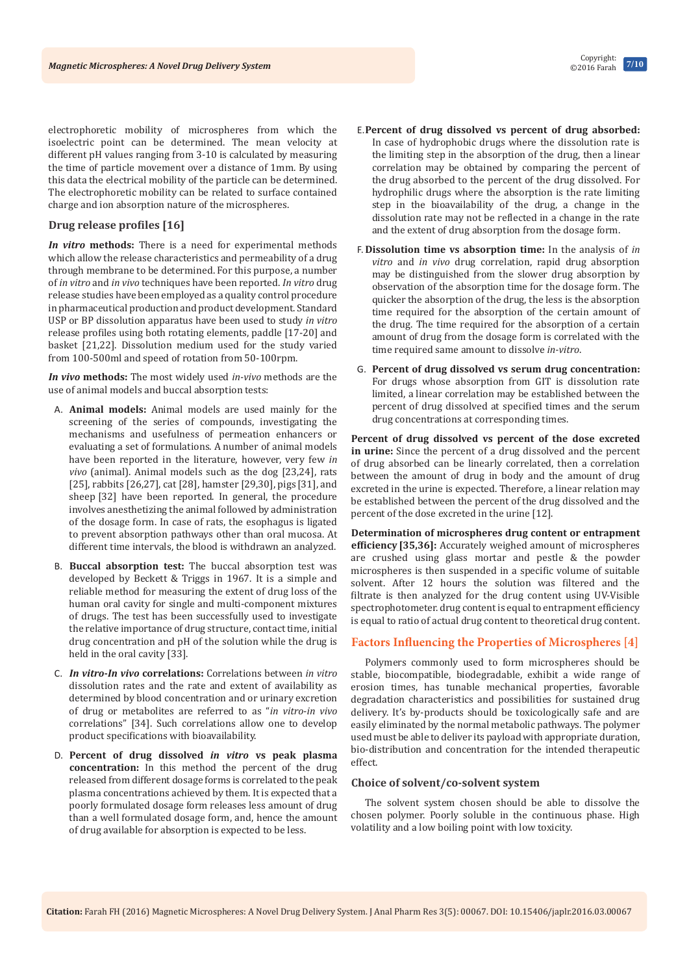electrophoretic mobility of microspheres from which the isoelectric point can be determined. The mean velocity at different pH values ranging from 3-10 is calculated by measuring the time of particle movement over a distance of 1mm. By using this data the electrical mobility of the particle can be determined. The electrophoretic mobility can be related to surface contained charge and ion absorption nature of the microspheres.

# **Drug release profiles [16]**

*In vitro* **methods:** There is a need for experimental methods which allow the release characteristics and permeability of a drug through membrane to be determined. For this purpose, a number of *in vitro* and *in vivo* techniques have been reported. *In vitro* drug release studies have been employed as a quality control procedure in pharmaceutical production and product development. Standard USP or BP dissolution apparatus have been used to study *in vitro*  release profiles using both rotating elements, paddle [17-20] and basket [21,22]. Dissolution medium used for the study varied from 100-500ml and speed of rotation from 50-100rpm.

*In vivo* **methods:** The most widely used *in-vivo* methods are the use of animal models and buccal absorption tests:

- A. **Animal models:** Animal models are used mainly for the screening of the series of compounds, investigating the mechanisms and usefulness of permeation enhancers or evaluating a set of formulations. A number of animal models have been reported in the literature, however, very few *in vivo* (animal). Animal models such as the dog [23,24], rats [25], rabbits [26,27], cat [28], hamster [29,30], pigs [31], and sheep [32] have been reported. In general, the procedure involves anesthetizing the animal followed by administration of the dosage form. In case of rats, the esophagus is ligated to prevent absorption pathways other than oral mucosa. At different time intervals, the blood is withdrawn an analyzed.
- B. **Buccal absorption test:** The buccal absorption test was developed by Beckett & Triggs in 1967. It is a simple and reliable method for measuring the extent of drug loss of the human oral cavity for single and multi-component mixtures of drugs. The test has been successfully used to investigate the relative importance of drug structure, contact time, initial drug concentration and pH of the solution while the drug is held in the oral cavity [33].
- C. *In vitro***-***In vivo* **correlations:** Correlations between *in vitro*  dissolution rates and the rate and extent of availability as determined by blood concentration and or urinary excretion of drug or metabolites are referred to as "*in vitro*-*in vivo*  correlations" [34]. Such correlations allow one to develop product specifications with bioavailability.
- D. **Percent of drug dissolved** *in vitro* **vs peak plasma concentration:** In this method the percent of the drug released from different dosage forms is correlated to the peak plasma concentrations achieved by them. It is expected that a poorly formulated dosage form releases less amount of drug than a well formulated dosage form, and, hence the amount of drug available for absorption is expected to be less.
- E.**Percent of drug dissolved vs percent of drug absorbed:** In case of hydrophobic drugs where the dissolution rate is the limiting step in the absorption of the drug, then a linear correlation may be obtained by comparing the percent of the drug absorbed to the percent of the drug dissolved. For hydrophilic drugs where the absorption is the rate limiting step in the bioavailability of the drug, a change in the dissolution rate may not be reflected in a change in the rate and the extent of drug absorption from the dosage form.
- F. **Dissolution time vs absorption time:** In the analysis of *in vitro* and *in vivo* drug correlation, rapid drug absorption may be distinguished from the slower drug absorption by observation of the absorption time for the dosage form. The quicker the absorption of the drug, the less is the absorption time required for the absorption of the certain amount of the drug. The time required for the absorption of a certain amount of drug from the dosage form is correlated with the time required same amount to dissolve *in-vitro*.
- G. **Percent of drug dissolved vs serum drug concentration:** For drugs whose absorption from GIT is dissolution rate limited, a linear correlation may be established between the percent of drug dissolved at specified times and the serum drug concentrations at corresponding times.

**Percent of drug dissolved vs percent of the dose excreted in urine:** Since the percent of a drug dissolved and the percent of drug absorbed can be linearly correlated, then a correlation between the amount of drug in body and the amount of drug excreted in the urine is expected. Therefore, a linear relation may be established between the percent of the drug dissolved and the percent of the dose excreted in the urine [12].

**Determination of microspheres drug content or entrapment efficiency [35,36]:** Accurately weighed amount of microspheres are crushed using glass mortar and pestle & the powder microspheres is then suspended in a specific volume of suitable solvent. After 12 hours the solution was filtered and the filtrate is then analyzed for the drug content using UV-Visible spectrophotometer. drug content is equal to entrapment efficiency is equal to ratio of actual drug content to theoretical drug content.

# **Factors Influencing the Properties of Microspheres [4]**

Polymers commonly used to form microspheres should be stable, biocompatible, biodegradable, exhibit a wide range of erosion times, has tunable mechanical properties, favorable degradation characteristics and possibilities for sustained drug delivery. It's by-products should be toxicologically safe and are easily eliminated by the normal metabolic pathways. The polymer used must be able to deliver its payload with appropriate duration, bio-distribution and concentration for the intended therapeutic effect.

## **Choice of solvent/co-solvent system**

The solvent system chosen should be able to dissolve the chosen polymer. Poorly soluble in the continuous phase. High volatility and a low boiling point with low toxicity.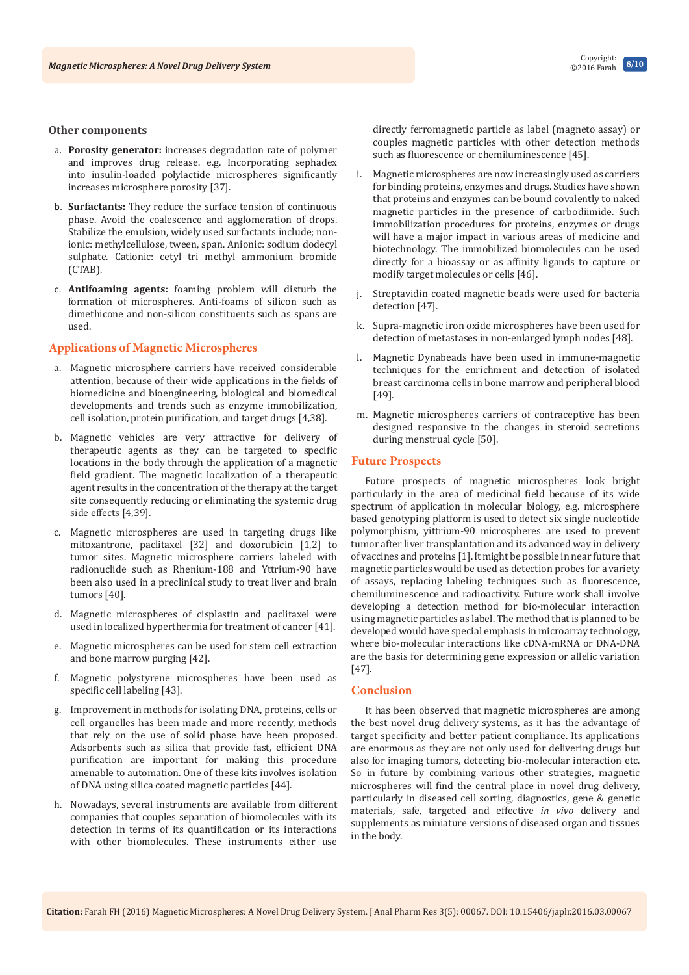#### **Other components**

- a. **Porosity generator:** increases degradation rate of polymer and improves drug release. e.g. Incorporating sephadex into insulin-loaded polylactide microspheres significantly increases microsphere porosity [37].
- b. **Surfactants:** They reduce the surface tension of continuous phase. Avoid the coalescence and agglomeration of drops. Stabilize the emulsion, widely used surfactants include; nonionic: methylcellulose, tween, span. Anionic: sodium dodecyl sulphate. Cationic: cetyl tri methyl ammonium bromide (CTAB).
- c. **Antifoaming agents:** foaming problem will disturb the formation of microspheres. Anti-foams of silicon such as dimethicone and non-silicon constituents such as spans are used.

## **Applications of Magnetic Microspheres**

- a. Magnetic microsphere carriers have received considerable attention, because of their wide applications in the fields of biomedicine and bioengineering, biological and biomedical developments and trends such as enzyme immobilization, cell isolation, protein purification, and target drugs [4,38].
- b. Magnetic vehicles are very attractive for delivery of therapeutic agents as they can be targeted to specific locations in the body through the application of a magnetic field gradient. The magnetic localization of a therapeutic agent results in the concentration of the therapy at the target site consequently reducing or eliminating the systemic drug side effects [4,39].
- c. Magnetic microspheres are used in targeting drugs like mitoxantrone, paclitaxel [32] and doxorubicin [1,2] to tumor sites. Magnetic microsphere carriers labeled with radionuclide such as Rhenium-188 and Yttrium-90 have been also used in a preclinical study to treat liver and brain tumors [40].
- d. Magnetic microspheres of cisplastin and paclitaxel were used in localized hyperthermia for treatment of cancer [41].
- e. Magnetic microspheres can be used for stem cell extraction and bone marrow purging [42].
- f. Magnetic polystyrene microspheres have been used as specific cell labeling [43].
- Improvement in methods for isolating DNA, proteins, cells or cell organelles has been made and more recently, methods that rely on the use of solid phase have been proposed. Adsorbents such as silica that provide fast, efficient DNA purification are important for making this procedure amenable to automation. One of these kits involves isolation of DNA using silica coated magnetic particles [44].
- h. Nowadays, several instruments are available from different companies that couples separation of biomolecules with its detection in terms of its quantification or its interactions with other biomolecules. These instruments either use

directly ferromagnetic particle as label (magneto assay) or couples magnetic particles with other detection methods such as fluorescence or chemiluminescence [45].

- i. Magnetic microspheres are now increasingly used as carriers for binding proteins, enzymes and drugs. Studies have shown that proteins and enzymes can be bound covalently to naked magnetic particles in the presence of carbodiimide. Such immobilization procedures for proteins, enzymes or drugs will have a major impact in various areas of medicine and biotechnology. The immobilized biomolecules can be used directly for a bioassay or as affinity ligands to capture or modify target molecules or cells [46].
- j. Streptavidin coated magnetic beads were used for bacteria detection [47].
- k. Supra-magnetic iron oxide microspheres have been used for detection of metastases in non-enlarged lymph nodes [48].
- l. Magnetic Dynabeads have been used in immune-magnetic techniques for the enrichment and detection of isolated breast carcinoma cells in bone marrow and peripheral blood [49].
- m. Magnetic microspheres carriers of contraceptive has been designed responsive to the changes in steroid secretions during menstrual cycle [50].

## **Future Prospects**

Future prospects of magnetic microspheres look bright particularly in the area of medicinal field because of its wide spectrum of application in molecular biology, e.g. microsphere based genotyping platform is used to detect six single nucleotide polymorphism, yittrium-90 microspheres are used to prevent tumor after liver transplantation and its advanced way in delivery of vaccines and proteins [1].It might be possible in near future that magnetic particles would be used as detection probes for a variety of assays, replacing labeling techniques such as fluorescence, chemiluminescence and radioactivity. Future work shall involve developing a detection method for bio-molecular interaction using magnetic particles as label. The method that is planned to be developed would have special emphasis in microarray technology, where bio-molecular interactions like cDNA-mRNA or DNA-DNA are the basis for determining gene expression or allelic variation [47].

# **Conclusion**

It has been observed that magnetic microspheres are among the best novel drug delivery systems, as it has the advantage of target specificity and better patient compliance. Its applications are enormous as they are not only used for delivering drugs but also for imaging tumors, detecting bio-molecular interaction etc. So in future by combining various other strategies, magnetic microspheres will find the central place in novel drug delivery, particularly in diseased cell sorting, diagnostics, gene & genetic materials, safe, targeted and effective *in vivo* delivery and supplements as miniature versions of diseased organ and tissues in the body.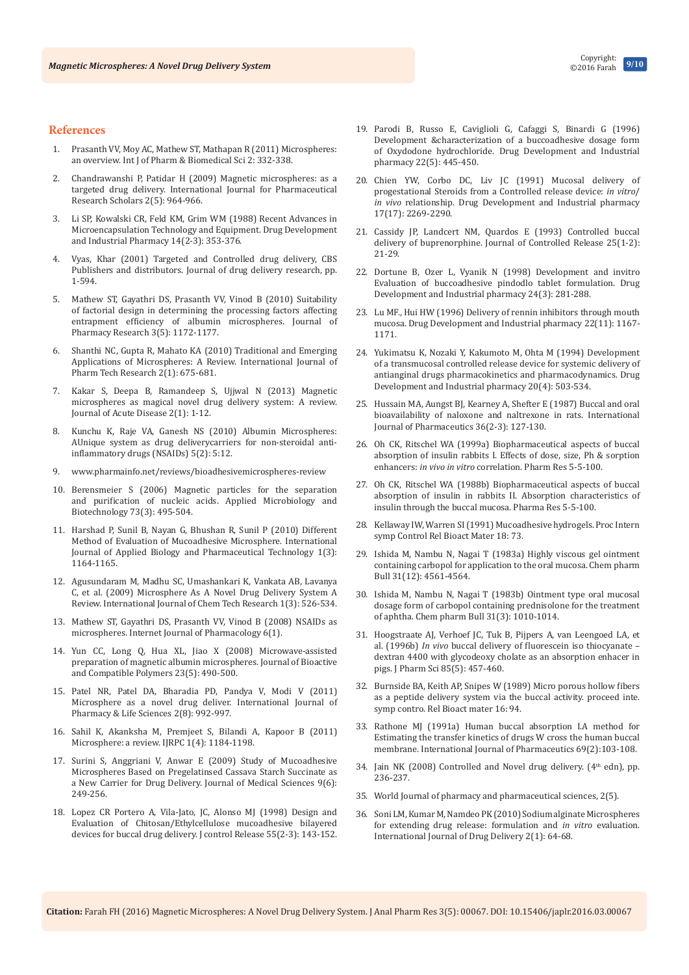#### **References**

- 1. Prasanth VV, Moy AC, Mathew ST, Mathapan R (2011) Microspheres: an overview. Int J of Pharm & Biomedical Sci 2: 332-338.
- 2. [Chandrawanshi P, Patidar H \(2009\) Magnetic microspheres: as a](http://www.academia.edu/8961595/Magnetic_Microspheres_as_a_Targeted_Drug_Delivery_System_A_Review)  [targeted drug delivery. International Journal for Pharmaceutical](http://www.academia.edu/8961595/Magnetic_Microspheres_as_a_Targeted_Drug_Delivery_System_A_Review)  [Research Scholars 2\(5\): 964-966.](http://www.academia.edu/8961595/Magnetic_Microspheres_as_a_Targeted_Drug_Delivery_System_A_Review)
- 3. [Li SP, Kowalski CR, Feld KM, Grim WM \(1988\) Recent Advances in](http://www.tandfonline.com/doi/abs/10.3109/03639048809151975?journalCode=iddi20)  [Microencapsulation Technology and Equipment. Drug Development](http://www.tandfonline.com/doi/abs/10.3109/03639048809151975?journalCode=iddi20)  [and Industrial Pharmacy 14\(2-3\): 353-376.](http://www.tandfonline.com/doi/abs/10.3109/03639048809151975?journalCode=iddi20)
- Vyas, Khar (2001) Targeted and Controlled drug delivery, CBS [Publishers and distributors. Journal of drug delivery research, pp.](file:///D:/23-11-2016/JAPLR-03-00067/JAPLR-16-RW-181_W/Targeted%20and%20Controlled%20drug%20delivery,%20CBS%20Publishers%20and%20distributors.)  [1-594.](file:///D:/23-11-2016/JAPLR-03-00067/JAPLR-16-RW-181_W/Targeted%20and%20Controlled%20drug%20delivery,%20CBS%20Publishers%20and%20distributors.)
- 5. [Mathew ST, Gayathri DS, Prasanth VV, Vinod B \(2010\) Suitability](http://connection.ebscohost.com/c/articles/70782149/suitability-factorial-design-determining-processing-factors-affecting-entrapment-efficiency-albumin-microspheres)  [of factorial design in determining the processing factors affecting](http://connection.ebscohost.com/c/articles/70782149/suitability-factorial-design-determining-processing-factors-affecting-entrapment-efficiency-albumin-microspheres)  [entrapment efficiency of albumin microspheres. Journal of](http://connection.ebscohost.com/c/articles/70782149/suitability-factorial-design-determining-processing-factors-affecting-entrapment-efficiency-albumin-microspheres)  [Pharmacy Research 3\(5\): 1172-1177.](http://connection.ebscohost.com/c/articles/70782149/suitability-factorial-design-determining-processing-factors-affecting-entrapment-efficiency-albumin-microspheres)
- 6. [Shanthi NC, Gupta R, Mahato KA \(2010\) Traditional and Emerging](http://sphinxsai.com/sphinxsaivol_2no.1/pharmtech_vol_2no.1/PharmTech_Vol_2No.1PDF/PT=106%20(675-681).pdf)  [Applications of Microspheres: A Review. International Journal of](http://sphinxsai.com/sphinxsaivol_2no.1/pharmtech_vol_2no.1/PharmTech_Vol_2No.1PDF/PT=106%20(675-681).pdf)  [Pharm Tech Research 2\(1\): 675-681.](http://sphinxsai.com/sphinxsaivol_2no.1/pharmtech_vol_2no.1/PharmTech_Vol_2No.1PDF/PT=106%20(675-681).pdf)
- 7. [Kakar S, Deepa B, Ramandeep S, Ujjwal N \(2013\) Magnetic](http://www.sciencedirect.com/science/article/pii/S2221618913600876)  [microspheres as magical novel drug delivery system: A review.](http://www.sciencedirect.com/science/article/pii/S2221618913600876)  [Journal of Acute Disease 2\(1\): 1-12.](http://www.sciencedirect.com/science/article/pii/S2221618913600876)
- 8. [Kunchu K, Raje VA, Ganesh NS \(2010\) Albumin Microspheres:](http://globalresearchonline.net/journalcontents/volume5issue2/article-003.pdf)  [AUnique system as drug deliverycarriers for non-steroidal anti](http://globalresearchonline.net/journalcontents/volume5issue2/article-003.pdf)[inflammatory drugs \(NSAIDs\) 5\(2\): 5:12.](http://globalresearchonline.net/journalcontents/volume5issue2/article-003.pdf)
- 9. [www.pharmainfo.net/reviews/bioadhesivemicrospheres-review](http://www.pharmainfo.net/reviews/bioadhesivemicrospheres-review)
- 10. [Berensmeier S \(2006\) Magnetic particles for the separation](http://link.springer.com/article/10.1007/s00253-006-0675-0)  [and purification of nucleic acids. Applied Microbiology and](http://link.springer.com/article/10.1007/s00253-006-0675-0)  [Biotechnology 73\(3\): 495-504.](http://link.springer.com/article/10.1007/s00253-006-0675-0)
- 11. [Harshad P, Sunil B, Nayan G, Bhushan R, Sunil P \(2010\) Different](http://www.ijabpt.com/pdf/83061-Harshad%20Parmar%5b4%5d.pdf)  [Method of Evaluation of Mucoadhesive Microsphere. International](http://www.ijabpt.com/pdf/83061-Harshad%20Parmar%5b4%5d.pdf)  [Journal of Applied Biology and Pharmaceutical Technology 1\(3\):](http://www.ijabpt.com/pdf/83061-Harshad%20Parmar%5b4%5d.pdf)  [1164-1165.](http://www.ijabpt.com/pdf/83061-Harshad%20Parmar%5b4%5d.pdf)
- 12. [Agusundaram M, Madhu SC, Umashankari K, Vankata AB, Lavanya](http://sphinxsai.com/CTVOL3/CT=22,alagusundaram%20(526-534).pdf)  [C, et al. \(2009\) Microsphere As A Novel Drug Delivery System A](http://sphinxsai.com/CTVOL3/CT=22,alagusundaram%20(526-534).pdf)  [Review. International Journal of Chem Tech Research 1\(3\): 526-534.](http://sphinxsai.com/CTVOL3/CT=22,alagusundaram%20(526-534).pdf)
- 13. [Mathew ST, Gayathri DS, Prasanth VV, Vinod B \(2008\) NSAIDs as](http://ispub.com/IJPHARM/6/1/4194)  [microspheres. Internet Journal of Pharmacology 6\(1\).](http://ispub.com/IJPHARM/6/1/4194)
- 14. [Yun CC, Long Q, Hua XL, Jiao X \(2008\) Microwave-assisted](http://jbc.sagepub.com/content/23/5/490.abstract)  [preparation of magnetic albumin microspheres. Journal of Bioactive](http://jbc.sagepub.com/content/23/5/490.abstract)  [and Compatible Polymers 23\(5\): 490-500.](http://jbc.sagepub.com/content/23/5/490.abstract)
- 15. [Patel NR, Patel DA, Bharadia PD, Pandya V, Modi V \(2011\)](http://www.ijplsjournal.com/issues%20PDF%20files/aug%202011/9.pdf)  [Microsphere as a novel drug deliver. International Journal of](http://www.ijplsjournal.com/issues%20PDF%20files/aug%202011/9.pdf)  [Pharmacy & Life Sciences 2\(8\): 992-997.](http://www.ijplsjournal.com/issues%20PDF%20files/aug%202011/9.pdf)
- 16. [Sahil K, Akanksha M, Premjeet S, Bilandi A, Kapoor B \(2011\)](http://www.ijrpc.com/files/000055.pdf)  [Microsphere: a review. IJRPC 1\(4\): 1184-1198.](http://www.ijrpc.com/files/000055.pdf)
- 17. [Surini S, Anggriani V, Anwar E \(2009\) Study of Mucoadhesive](http://scialert.net/abstract/?doi=jms.2009.249.256)  [Microspheres Based on Pregelatinsed Cassava Starch Succinate as](http://scialert.net/abstract/?doi=jms.2009.249.256)  [a New Carrier for Drug Delivery. Journal of Medical Sciences 9\(6\):](http://scialert.net/abstract/?doi=jms.2009.249.256)  [249-256.](http://scialert.net/abstract/?doi=jms.2009.249.256)
- 18. [Lopez CR Portero A, Vila-Jato, JC, Alonso MJ \(1998\) Design and](https://www.ncbi.nlm.nih.gov/pubmed/9795035)  [Evaluation of Chitosan/Ethylcellulose mucoadhesive bilayered](https://www.ncbi.nlm.nih.gov/pubmed/9795035)  [devices for buccal drug delivery. J control Release 55\(2-3\): 143-152.](https://www.ncbi.nlm.nih.gov/pubmed/9795035)
- 19. [Parodi B, Russo E, Caviglioli G, Cafaggi S, Binardi G \(1996\)](http://www.tandfonline.com/doi/abs/10.3109/03639049609069353?journalCode=iddi20)  [Development &characterization of a buccoadhesive dosage form](http://www.tandfonline.com/doi/abs/10.3109/03639049609069353?journalCode=iddi20)  [of Oxydodone hydrochloride. Drug Development and Industrial](http://www.tandfonline.com/doi/abs/10.3109/03639049609069353?journalCode=iddi20)  [pharmacy 22\(5\): 445-450.](http://www.tandfonline.com/doi/abs/10.3109/03639049609069353?journalCode=iddi20)
- 20. [Chien YW, Corbo DC, Liv JC \(1991\) Mucosal delivery of](http://www.tandfonline.com/doi/abs/10.3109/03639049109048075?needAccess=true)  [progestational Steroids from a Controlled release device:](http://www.tandfonline.com/doi/abs/10.3109/03639049109048075?needAccess=true) *in vitro*/ *in vivo* [relationship. Drug Development and Industrial pharmacy](http://www.tandfonline.com/doi/abs/10.3109/03639049109048075?needAccess=true)  [17\(17\): 2269-2290.](http://www.tandfonline.com/doi/abs/10.3109/03639049109048075?needAccess=true)
- 21. [Cassidy JP, Landcert NM, Quardos E \(1993\) Controlled buccal](http://www.sciencedirect.com/science/article/pii/016836599390091I)  [delivery of buprenorphine. Journal of Controlled Release 25\(1-2\):](http://www.sciencedirect.com/science/article/pii/016836599390091I)  [21-29.](http://www.sciencedirect.com/science/article/pii/016836599390091I)
- 22. [Dortune B, Ozer L, Vyanik N \(1998\) Development and invitro](http://www.tandfonline.com/doi/abs/10.3109/03639049809085621)  [Evaluation of buccoadhesive pindodlo tablet formulation. Drug](http://www.tandfonline.com/doi/abs/10.3109/03639049809085621)  [Development and Industrial pharmacy 24\(3\): 281-288.](http://www.tandfonline.com/doi/abs/10.3109/03639049809085621)
- 23. [Lu MF., Hui HW \(1996\) Delivery of rennin inhibitors through mouth](http://www.tandfonline.com/doi/abs/10.3109/03639049609065954)  [mucosa. Drug Development and Industrial pharmacy 22\(11\): 1167-](http://www.tandfonline.com/doi/abs/10.3109/03639049609065954) [1171.](http://www.tandfonline.com/doi/abs/10.3109/03639049609065954)
- 24. [Yukimatsu K, Nozaki Y, Kakumoto M, Ohta M \(1994\) Development](http://www.tandfonline.com/doi/abs/10.3109/03639049409038315)  [of a transmucosal controlled release device for systemic delivery of](http://www.tandfonline.com/doi/abs/10.3109/03639049409038315)  [antianginal drugs pharmacokinetics and pharmacodynamics. Drug](http://www.tandfonline.com/doi/abs/10.3109/03639049409038315)  [Development and Industrial pharmacy 20\(4\): 503-534.](http://www.tandfonline.com/doi/abs/10.3109/03639049409038315)
- 25. [Hussain MA, Aungst BJ, Kearney A, Shefter E \(1987\) Buccal and oral](http://www.sciencedirect.com/science/article/pii/0378517387901475)  [bioavailability of naloxone and naltrexone in rats. International](http://www.sciencedirect.com/science/article/pii/0378517387901475)  [Journal of Pharmaceutics 36\(2-3\): 127-130.](http://www.sciencedirect.com/science/article/pii/0378517387901475)
- 26. Oh CK, Ritschel WA (1999a) Biopharmaceutical aspects of buccal absorption of insulin rabbits I. Effects of dose, size, Ph & sorption enhancers: *in vivo in vitro* correlation. Pharm Res 5-5-100.
- 27. Oh CK, Ritschel WA (1988b) Biopharmaceutical aspects of buccal absorption of insulin in rabbits II. Absorption characteristics of insulin through the buccal mucosa. Pharma Res 5-5-100.
- 28. Kellaway IW, Warren SI (1991) Mucoadhesive hydrogels. Proc Intern symp Control Rel Bioact Mater 18: 73.
- 29. [Ishida M, Nambu N, Nagai T \(1983a\) Highly viscous gel ointment](https://www.ncbi.nlm.nih.gov/pubmed/6671259)  [containing carbopol for application to the oral mucosa. Chem pharm](https://www.ncbi.nlm.nih.gov/pubmed/6671259)  [Bull 31\(12\): 4561-4564.](https://www.ncbi.nlm.nih.gov/pubmed/6671259)
- 30. [Ishida M, Nambu N, Nagai T \(1983b\) Ointment type oral mucosal](https://www.ncbi.nlm.nih.gov/pubmed/6883599)  [dosage form of carbopol containing prednisolone for the treatment](https://www.ncbi.nlm.nih.gov/pubmed/6883599)  [of aphtha. Chem pharm Bull 31\(3\): 1010-1014.](https://www.ncbi.nlm.nih.gov/pubmed/6883599)
- 31. [Hoogstraate AJ, Verhoef JC, Tuk B, Pijpers A, van Leengoed LA, et](https://www.ncbi.nlm.nih.gov/pubmed/8742934)  al. (1996b) *In vivo* [buccal delivery of fluorescein iso thiocyanate –](https://www.ncbi.nlm.nih.gov/pubmed/8742934)  [dextran 4400 with glycodeoxy cholate as an absorption enhacer in](https://www.ncbi.nlm.nih.gov/pubmed/8742934)  [pigs. J Pharm Sci 85\(5\): 457-460.](https://www.ncbi.nlm.nih.gov/pubmed/8742934)
- 32. Burnside BA, Keith AP, Snipes W (1989) Micro porous hollow fibers as a peptide delivery system via the buccal activity. proceed inte. symp contro. Rel Bioact mater 16: 94.
- 33. [Rathone MJ \(1991a\) Human buccal absorption I.A method for](http://www.sciencedirect.com/science/article/pii/037851739190215A)  [Estimating the transfer kinetics of drugs W cross the human buccal](http://www.sciencedirect.com/science/article/pii/037851739190215A)  [membrane. International Journal of Pharmaceutics 69\(2\):103-108.](http://www.sciencedirect.com/science/article/pii/037851739190215A)
- 34. Jain NK (2008) Controlled and Novel drug delivery. (4<sup>th</sup> edn), pp. 236-237.
- 35. World Journal of pharmacy and pharmaceutical sciences, 2(5).
- 36. [Soni LM, Kumar M, Namdeo PK \(2010\) Sodium alginate Microspheres](http://www.arjournals.org/index.php/ijdd/article/view/15/13)  [for extending drug release: formulation and](http://www.arjournals.org/index.php/ijdd/article/view/15/13) *in vitro* evaluation. [International Journal of Drug Delivery 2\(1\): 64-68.](http://www.arjournals.org/index.php/ijdd/article/view/15/13)